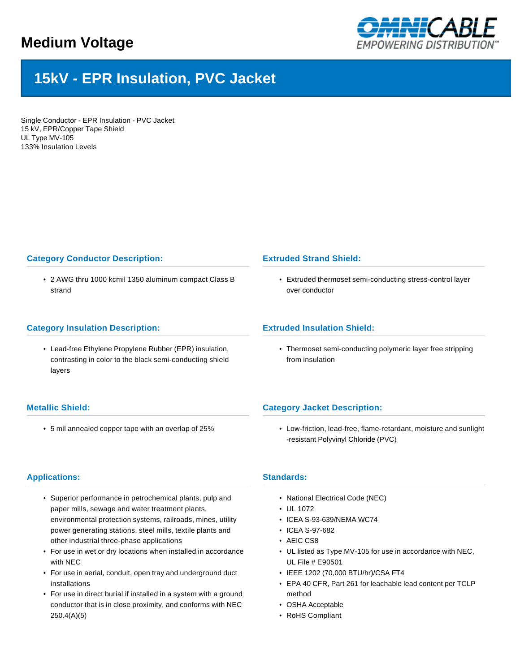

# **15kV - EPR Insulation, PVC Jacket**

Single Conductor - EPR Insulation - PVC Jacket 15 kV, EPR/Copper Tape Shield UL Type MV-105 133% Insulation Levels

# **Category Conductor Description:**

• 2 AWG thru 1000 kcmil 1350 aluminum compact Class B strand

# **Category Insulation Description:**

• Lead-free Ethylene Propylene Rubber (EPR) insulation, contrasting in color to the black semi-conducting shield layers

# **Metallic Shield:**

• 5 mil annealed copper tape with an overlap of 25%

# **Extruded Strand Shield:**

• Extruded thermoset semi-conducting stress-control layer over conductor

# **Extruded Insulation Shield:**

• Thermoset semi-conducting polymeric layer free stripping from insulation

# **Category Jacket Description:**

• Low-friction, lead-free, flame-retardant, moisture and sunlight -resistant Polyvinyl Chloride (PVC)

# **Applications:**

- Superior performance in petrochemical plants, pulp and paper mills, sewage and water treatment plants, environmental protection systems, railroads, mines, utility power generating stations, steel mills, textile plants and other industrial three-phase applications
- For use in wet or dry locations when installed in accordance with NEC
- For use in aerial, conduit, open tray and underground duct installations
- For use in direct burial if installed in a system with a ground conductor that is in close proximity, and conforms with NEC 250.4(A)(5)

#### **Standards:**

- National Electrical Code (NEC)
- UL 1072
- ICEA S-93-639/NEMA WC74
- ICEA S-97-682
- AEIC CS8
- UL listed as Type MV-105 for use in accordance with NEC, UL File # E90501
- IEEE 1202 (70,000 BTU/hr)/CSA FT4
- EPA 40 CFR, Part 261 for leachable lead content per TCLP method
- OSHA Acceptable
- RoHS Compliant